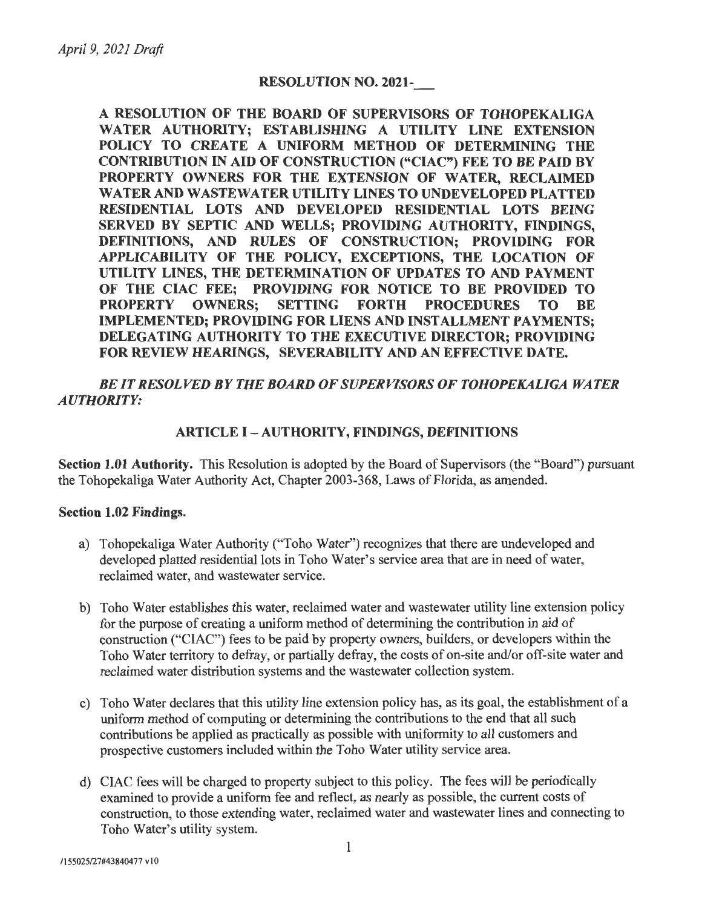#### **RESOLUTION NO. 2021-**

**A RESOLUTION OF THE BOARD OF SUPERVISORS OF TOHOPEKALIGA WATER AUTHORITY; ESTABLISHING A UTILITY LINE EXTENSION POLICY TO CREATE A UNIFORM METHOD OF DETERMINING THE CONTRIBUTION** IN **AID OF CONSTRUCTION ("CIAC") FEE TO BE PAID BY PROPERTY OWNERS FOR THE EXTENSION OF WATER, RECLAIMED WATER AND WASTEWATER UTILITY LINES TO UNDEVELOPED PLATTED RESIDENTIAL LOTS AND DEVELOPED RESIDENTIAL LOTS BEING SERVED BY SEPTIC AND WELLS; PROVIDING AUTHORITY, FINDINGS, DEFINITIONS, AND RULES OF CONSTRUCTION; PROVIDING FOR APPLICABILITY OF THE POLICY, EXCEPTIONS, THE LOCATION OF UTILITY LINES, THE DETERMINATION OF UPDATES TO AND PAYMENT OF THE CIAC FEE; PROVIDING FOR NOTICE TO BE PROVIDED TO PROCEDURES TO BE SETTING FORTH PROCEDURES TO BE IMPLEMENTED; PROVIDING FOR LIENS AND INSTALLMENT PAYMENTS; DELEGATING AUTHORITY TO THE EXECUTIVE DIRECTOR; PROVIDING FOR REVIEW HEARINGS, SEVERABILITY AND AN EFFECTIVE DATE.** 

*BE IT RESOLVED BY THE BOARD OF SUPERVISORS OF TOHOPEKALIGA WATER AUTHORITY:* 

#### **ARTICLE** I - **AUTHORITY, FINDINGS, DEFINITIONS**

**Section 1.01 Authority.** This Resolution is adopted by the Board of Supervisors (the "Board") pursuant the Tohopekaliga Water Authority Act, Chapter 2003-368, Laws of Florida, as amended.

#### **Section 1.02 Findings.**

- a) Tohopekaliga Water Authority ("Toho Water") recognizes that there are undeveloped and developed platted residential lots in Toho Water's service area that are in need of water, reclaimed water, and wastewater service.
- b) Toho Water establishes this water, reclaimed water and wastewater utility line extension policy for the purpose of creating a uniform method of determining the contribution in aid of construction ("CIAC") fees to be paid by property owners, builders, or developers within the Toho Water territory to defray, or partially defray, the costs of on-site and/or off-site water and reclaimed water distribution systems and the wastewater collection system.
- c) Toho Water declares that this utility line extension policy has, as its goal, the establishment of a uniform method of computing or determining the contributions to the end that all such contributions be applied as practically as possible with uniformity to all customers and prospective customers included within the Toho Water utility service area.
- d) CIAC fees will be charged to property subject to this policy. The fees will be periodically examined to provide a uniform fee and reflect, as nearly as possible, the current costs of construction, to those extending water, reclaimed water and wastewater lines and connecting to Toho Water's utility system.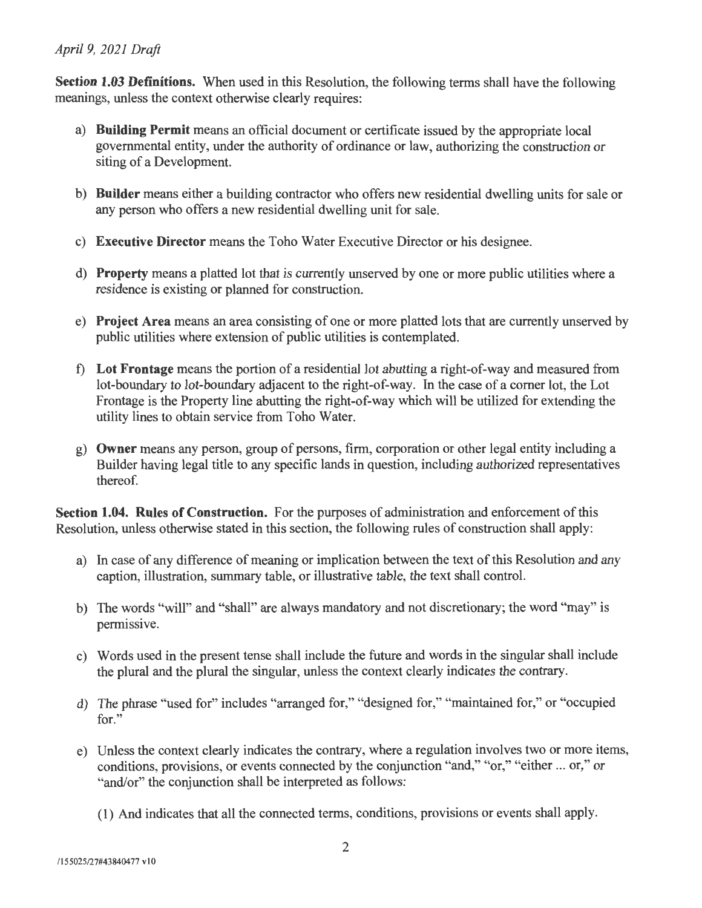**Section 1.03 Definitions.** When used in this Resolution, the following terms shall have the following meanings, unless the context otherwise clearly requires:

- a) **Building Permit** means an official document or certificate issued by the appropriate local governmental entity, under the authority of ordinance or law, authorizing the construction or siting of a Development.
- b) **Builder** means either a building contractor who offers new residential dwelling units for sale or any person who offers a new residential dwelling unit for sale.
- c) **Executive Director** means the Toho Water Executive Director or his designee.
- d) **Property** means a platted lot that is currently unserved by one or more public utilities where a residence is existing or planned for construction.
- e) **Project Area** means an area consisting of one or more platted lots that are currently unserved by public utilities where extension of public utilities is contemplated.
- f) **Lot Frontage** means the portion of a residential lot abutting a right-of-way and measured from lot-boundary to lot-boundary adjacent to the right-of-way. In the case of a comer lot, the Lot Frontage is the Property line abutting the right-of-way which will be utilized for extending the utility lines to obtain service from Toho Water.
- g) **Owner** means any person, group of persons, firm, corporation or other legal entity including a Builder having legal title to any specific lands in question, including authorized representatives thereof.

**Section 1.04. Rules of Construction.** For the purposes of administration and enforcement of this Resolution, unless otherwise stated in this section, the following rules of construction shall apply:

- a) In case of any difference of meaning or implication between the text of this Resolution and any caption, illustration, summary table, or illustrative table, the text shall control.
- b) The words "will" and "shall" are always mandatory and not discretionary; the word "may" is permissive.
- c) Words used in the present tense shall include the future and words in the singular shall include the plural and the plural the singular, unless the context clearly indicates the contrary.
- d) The phrase "used for" includes "arranged for," "designed for," "maintained for," or "occupied for."
- e) Unless the context clearly indicates the contrary, where a regulation involves two or more items, conditions, provisions, or events connected by the conjunction "and," "or," "either ... or," or "and/or" the conjunction shall be interpreted as follows:
	- (1) And indicates that all the connected terms, conditions, provisions or events shall apply.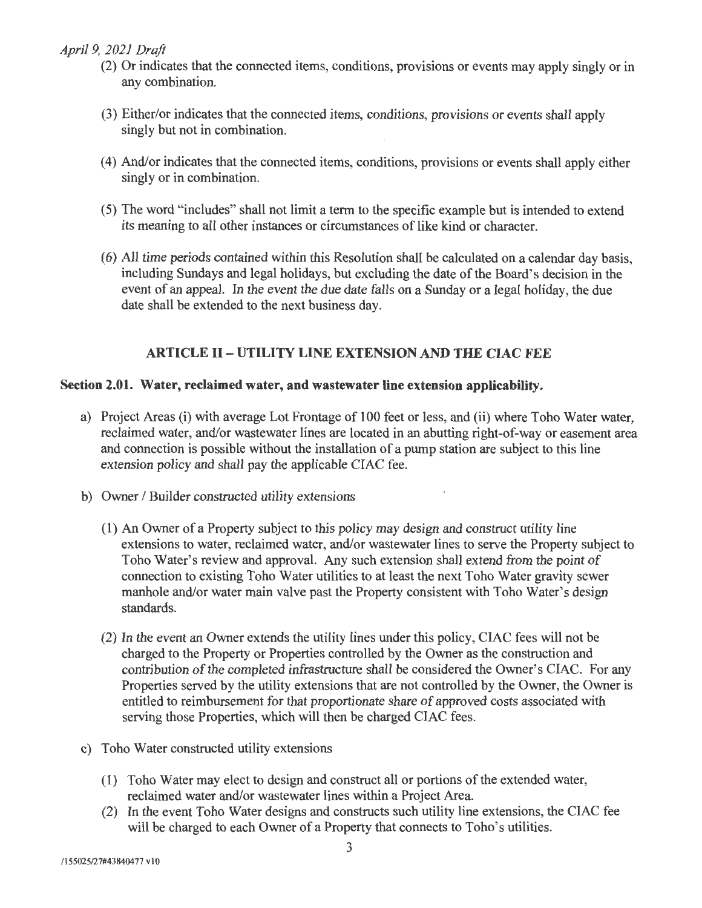- (2) Or indicates that the connected items, conditions, provisions or events may apply singly or in any combination.
- (3) Either/or indicates that the connected items, conditions, provisions or events shall apply singly but not in combination.
- (4) And/or indicates that the connected items, conditions, provisions or events shall apply either singly or in combination.
- (5) The word "includes" shall not limit a term to the specific example but is intended to extend its meaning to all other instances or circumstances of like kind or character.
- ( 6) All time periods contained within this Resolution shall be calculated on a calendar day basis, including Sundays and legal holidays, but excluding the date of the Board's decision in the event of an appeal. In the event the due date falls on a Sunday or a legal holiday, the due date shall be extended to the next business day.

## **ARTICLE** II - **UTILITY LINE EXTENSION AND THE CIAC FEE**

#### **Section 2.01. Water, reclaimed water, and wastewater line extension applicability.**

- a) Project Areas (i) with average Lot Frontage of 100 feet or less, and (ii) where Toho Water water, reclaimed water, and/or wastewater lines are located in an abutting right-of-way or easement area and connection is possible without the installation of a pump station are subject to this line extension policy and shall pay the applicable CIAC fee.
- b) Owner / Builder constructed utility extensions
	- (1) An Owner of a Property subject to this policy may design and construct utility line extensions to water, reclaimed water, and/or wastewater lines to serve the Property subject to Toho Water's review and approval. Any such extension shall extend from the point of connection to existing Toho Water utilities to at least the next Toho Water gravity sewer manhole and/or water main valve past the Property consistent with Toho Water's design standards.
	- (2) In the event an Owner extends the utility lines under this policy, CIAC fees will not be charged to the Property or Properties controlled by the Owner as the construction and contribution of the completed infrastructure shall be considered the Owner's CIAC. For any Properties served by the utility extensions that are not controlled by the Owner, the Owner is entitled to reimbursement for that proportionate share of approved costs associated with serving those Properties, which will then be charged CIAC fees.
- c) Toho Water constructed utility extensions
	- (1) Toho Water may elect to design and construct all or portions of the extended water, reclaimed water and/or wastewater lines within a Project Area.
	- (2) In the event Toho Water designs and constructs such utility line extensions, the CIAC fee will be charged to each Owner of a Property that connects to Toho's utilities.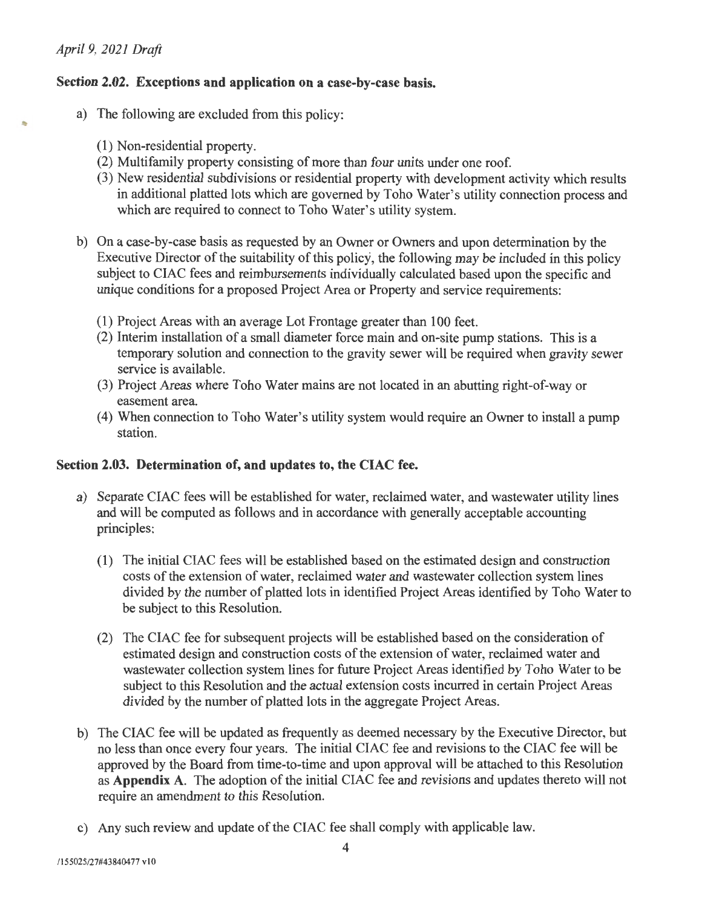#### **Section 2.02. Exceptions and application on a case-by-case basis.**

- a) The following are excluded from this policy:
	- (1) Non-residential property.
	- (2) Multifamily property consisting of more than four units under one roof.
	- (3) New residential subdivisions or residential property with development activity which results in additional platted lots which are governed by Toho Water's utility connection process and which are required to connect to Toho Water's utility system.
- b) On a case-by-case basis as requested by an Owner or Owners and upon determination by the Executive Director of the suitability of this policy, the following may be included in this policy subject to CIAC fees and reimbursements individually calculated based upon the specific and unique conditions for a proposed Project Area or Property and service requirements:
	- (1) Project Areas with an average Lot Frontage greater than 100 feet.
	- (2) Interim installation of a small diameter force main and on-site pump stations. This is a temporary solution and connection to the gravity sewer will be required when gravity sewer service is available.
	- (3) Project Areas where Toho Water mains are not located in an abutting right-of-way or easement area.
	- (4) When connection to Toho Water's utility system would require an Owner to install a pump station.

#### **Section 2.03. Determination of, and updates to, the CIAC fee.**

- a) Separate CIAC fees will be established for water, reclaimed water, and wastewater utility lines and will be computed as follows and in accordance with generally acceptable accounting principles:
	- (1) The initial CIAC fees will be established based on the estimated design and construction costs of the extension of water, reclaimed water and wastewater collection system lines divided by the number of platted lots in identified Project Areas identified by Toho Water to be subject to this Resolution.
	- (2) The CIAC fee for subsequent projects will be established based on the consideration of estimated design and construction costs of the extension of water, reclaimed water and wastewater collection system lines for future Project Areas identified by Toho Water to be subject to this Resolution and the actual extension costs incurred in certain Project Areas divided by the number of platted lots in the aggregate Project Areas.
- b) The CIAC fee will be updated as frequently as deemed necessary by the Executive Director, but no less than once every four years. The initial CIAC fee and revisions to the CIAC fee will be approved by the Board from time-to-time and upon approval will be attached to this Resolution as **Appendix A.** The adoption of the initial CIAC fee and revisions and updates thereto will not require an amendment to this Resolution.
- c) Any such review and update of the CIAC fee shall comply with applicable law.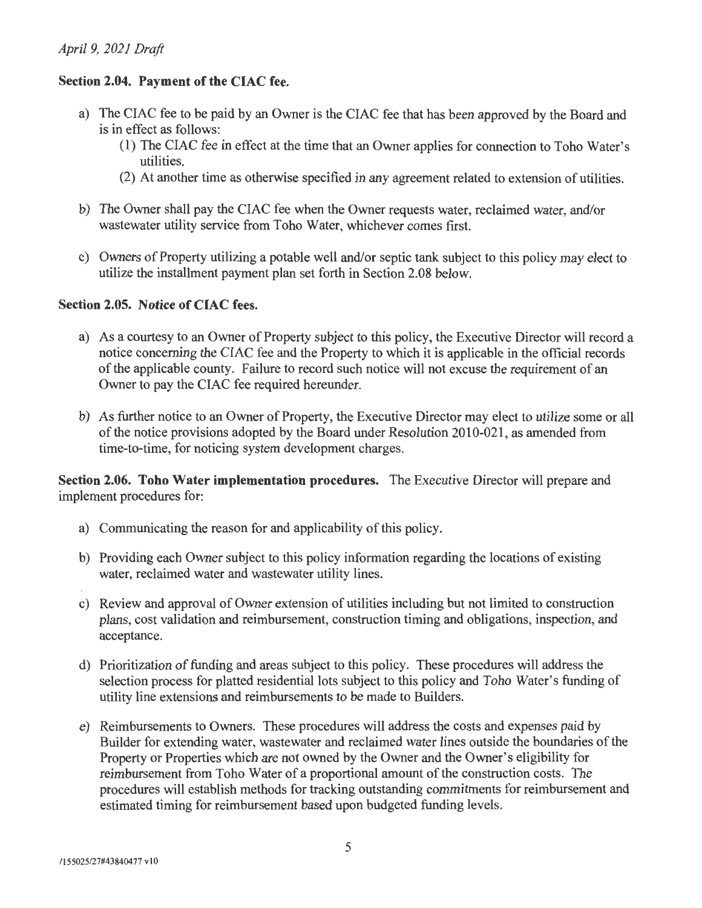## **Section 2.04. Payment of the CIAC fee.**

- a) The CIAC fee to be paid by an Owner is the CIAC fee that has been approved by the Board and is in effect as follows:
	- (1) The CIAC fee in effect at the time that an Owner applies for connection to Toho Water's utilities.
	- (2) At another time as otherwise specified in any agreement related to extension of utilities.
- b) The Owner shall pay the CIAC fee when the Owner requests water, reclaimed water, and/or wastewater utility service from Toho Water, whichever comes first.
- c) Owners of Property utilizing a potable well and/or septic tank subject to this policy may elect to utilize the installment payment plan set forth in Section 2.08 below.

#### **Section 2.05. Notice of CIAC fees.**

- a) As a courtesy to an Owner of Property subject to this policy, the Executive Director will record a notice concerning the CIAC fee and the Property to which it is applicable in the official records of the applicable county. Failure to record such notice will not excuse the requirement of an Owner to pay the CIAC fee required hereunder.
- b) As further notice to an Owner of Property, the Executive Director may elect to utilize some or all of the notice provisions adopted by the Board under Resolution 2010-021, as amended from time-to-time, for noticing system development charges.

**Section 2.06. Toho Water implementation procedures.** The Executive Director will prepare and implement procedures for:

- a) Communicating the reason for and applicability of this policy.
- b) Providing each Owner subject to this policy information regarding the locations of existing water, reclaimed water and wastewater utility lines.
- c) Review and approval of Owner extension of utilities including but not limited to construction plans, cost validation and reimbursement, construction timing and obligations, inspection, and acceptance.
- d) Prioritization of funding and areas subject to this policy. These procedures will address the selection process for platted residential lots subject to this policy and Toho Water's funding of utility line extensions and reimbursements to be made to Builders.
- e) Reimbursements to Owners. These procedures will address the costs and expenses paid by Builder for extending water, wastewater and reclaimed water lines outside the boundaries of the Property or Properties which are not owned by the Owner and the Owner's eligibility for reimbursement from Toho Water of a proportional amount of the construction costs. The procedures will establish methods for tracking outstanding commitments for reimbursement and estimated timing for reimbursement based upon budgeted funding levels.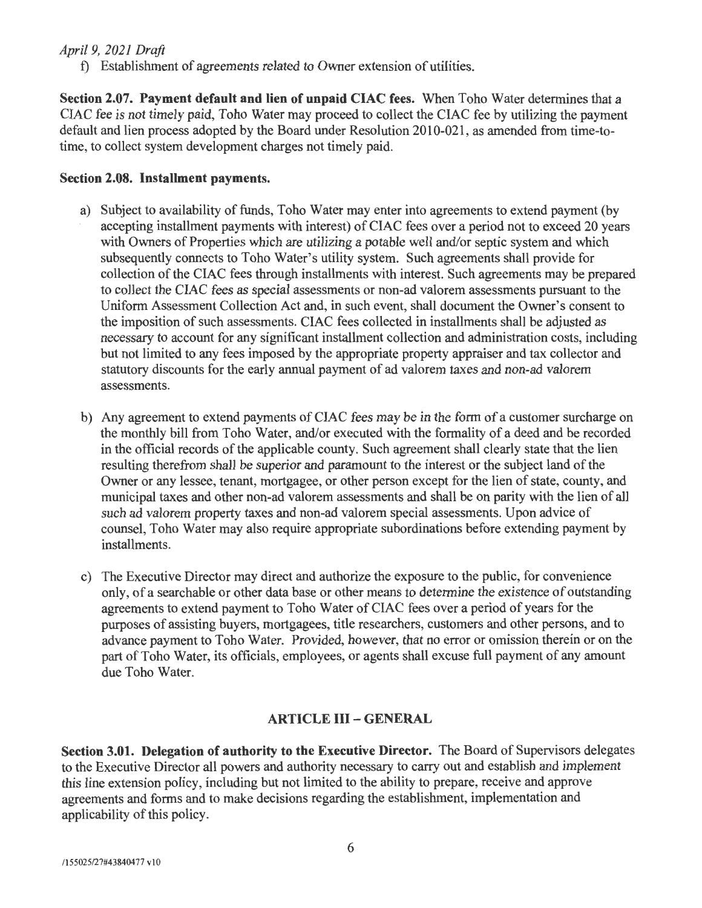t) Establishment of agreements related to Owner extension of utilities.

**Section 2.07. Payment default and lien of unpaid CIAC fees.** When Toho Water determines that a CIAC fee is not timely paid, Toho Water may proceed to collect the CIAC fee by utilizing the payment default and lien process adopted by the Board under Resolution 2010-021 , as amended from time-totime, to collect system development charges not timely paid.

## **Section 2.08. Installment payments.**

- a) Subject to availability of funds, Toho Water may enter into agreements to extend payment (by accepting installment payments with interest) of CIAC fees over a period not to exceed 20 years with Owners of Properties which are utilizing a potable well and/or septic system and which subsequently connects to Toho Water's utility system. Such agreements shall provide for collection of the CIAC fees through installments with interest. Such agreements may be prepared to collect the CIAC fees as special assessments or non-ad valorem assessments pursuant to the Uniform Assessment Collection Act and, in such event, shall document the Owner's consent to the imposition of such assessments. CIAC fees collected in installments shall be adjusted as necessary to account for any significant installment collection and administration costs, including but not limited to any fees imposed by the appropriate property appraiser and tax collector and statutory discounts for the early annual payment of ad valorem taxes and non-ad valorem assessments.
- b) Any agreement to extend payments of CIAC fees may be in the form of a customer surcharge on the monthly bill from Toho Water, and/or executed with the formality of a deed and be recorded in the official records of the applicable county. Such agreement shall clearly state that the lien resulting therefrom shall be superior and paramount to the interest or the subject land of the Owner or any lessee, tenant, mortgagee, or other person except for the lien of state, county, and municipal taxes and other non-ad valorem assessments and shall be on parity with the lien of all such ad valorem property taxes and non-ad valorem special assessments. Upon advice of counsel, Toho Water may also require appropriate subordinations before extending payment by installments.
- c) The Executive Director may direct and authorize the exposure to the public, for convenience only, of a searchable or other data base or other means to determine the existence of outstanding agreements to extend payment to Toho Water of CIAC fees over a period of years for the purposes of assisting buyers, mortgagees, title researchers, customers and other persons, and to advance payment to Toho Water. Provided, however, that no error or omission therein or on the part of Toho Water, its officials, employees, or agents shall excuse full payment of any amount due Toho Water.

# **ARTICLE** III - **GENERAL**

**Section 3.01. Delegation of authority to the Executive Director.** The Board of Supervisors delegates to the Executive Director all powers and authority necessary to carry out and establish and implement this line extension policy, including but not limited to the ability to prepare, receive and approve agreements and forms and to make decisions regarding the establishment, implementation and applicability of this policy.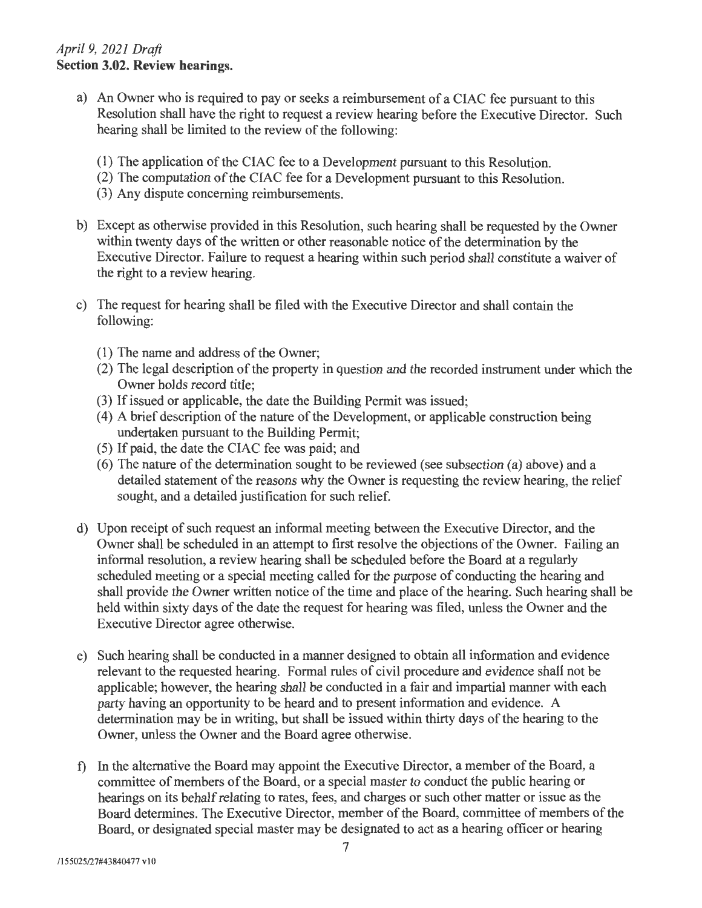## *April 9, 2021 Draft*  **Section 3.02. Review hearings.**

- a) An Owner who is required to pay or seeks a reimbursement of a CIAC fee pursuant to this Resolution shall have the right to request a review hearing before the Executive Director. Such hearing shall be limited to the review of the following:
	- (1) The application of the CIAC fee to a Development pursuant to this Resolution.
	- (2) The computation of the CIAC fee for a Development pursuant to this Resolution.
	- (3) Any dispute concerning reimbursements.
- b) Except as otherwise provided in this Resolution, such hearing shall be requested by the Owner within twenty days of the written or other reasonable notice of the determination by the Executive Director. Failure to request a hearing within such period shall constitute a waiver of the right to a review hearing.
- c) The request for hearing shall be filed with the Executive Director and shall contain the following:
	- (1) The name and address of the Owner;
	- (2) The legal description of the property in question and the recorded instrument under which the Owner holds record title;
	- (3) If issued or applicable, the date the Building Permit was issued;
	- (4) A brief description of the nature of the Development, or applicable construction being undertaken pursuant to the Building Permit;
	- (5) If paid, the date the CIAC fee was paid; and
	- (6) The nature of the determination sought to be reviewed (see subsection (a) above) and a detailed statement of the reasons why the Owner is requesting the review hearing, the relief sought, and a detailed justification for such relief.
- d) Upon receipt of such request an informal meeting between the Executive Director, and the Owner shall be scheduled in an attempt to first resolve the objections of the Owner. Failing an informal resolution, a review hearing shall be scheduled before the Board at a regularly scheduled meeting or a special meeting called for the purpose of conducting the hearing and shall provide the Owner written notice of the time and place of the hearing. Such hearing shall be held within sixty days of the date the request for hearing was filed, unless the Owner and the Executive Director agree otherwise.
- e) Such hearing shall be conducted in a manner designed to obtain all information and evidence relevant to the requested hearing. Formal rules of civil procedure and evidence shall not be applicable; however, the hearing shall be conducted in a fair and impartial manner with each party having an opportunity to be heard and to present information and evidence. A determination may be in writing, but shall be issued within thirty days of the hearing to the Owner, unless the Owner and the Board agree otherwise.
- f) In the alternative the Board may appoint the Executive Director, a member of the Board, a committee of members of the Board, or a special master to conduct the public hearing or hearings on its behalf relating to rates, fees, and charges or such other matter or issue as the Board determines. The Executive Director, member of the Board, committee of members of the Board, or designated special master may be designated to act as a hearing officer or hearing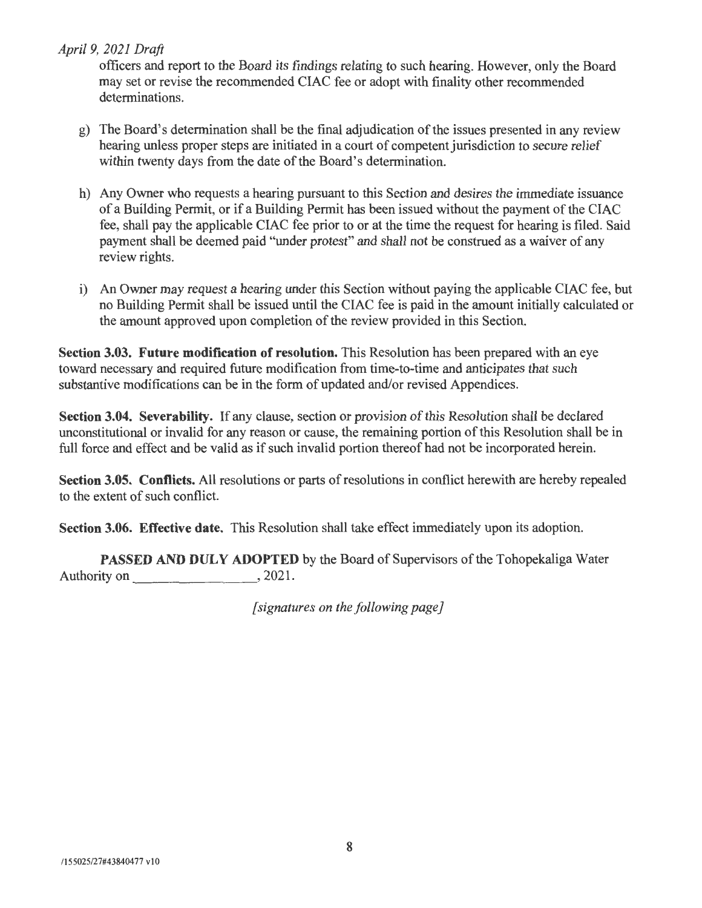officers and report to the Board its findings relating to such hearing. However, only the Board may set or revise the recommended CIAC fee or adopt with finality other recommended determinations.

- g) The Board's determination shall be the final adjudication of the issues presented in any review hearing unless proper steps are initiated in a court of competent jurisdiction to secure relief within twenty days from the date of the Board's determination.
- h) Any Owner who requests a hearing pursuant to this Section and desires the immediate issuance of a Building Permit, or if a Building Permit has been issued without the payment of the CIAC fee, shall pay the applicable CIAC fee prior to or at the time the request for hearing is filed. Said payment shall be deemed paid "under protest" and shall not be construed as a waiver of any review rights.
- i) An Owner may request a hearing under this Section without paying the applicable CIAC fee, but no Building Permit shall be issued until the CIAC fee is paid in the amount initially calculated or the amount approved upon completion of the review provided in this Section.

**Section 3.03. Future modification of resolution.** This Resolution has been prepared with an eye toward necessary and required future modification from time-to-time and anticipates that such substantive modifications can be in the form of updated and/or revised Appendices.

**Section 3.04. Severability.** If any clause, section or provision of this Resolution shall be declared unconstitutional or invalid for any reason or cause, the remaining portion of this Resolution shall be in full force and effect and be valid as if such invalid portion thereof had not be incorporated herein.

**Section 3.05. Conflicts.** All resolutions or parts of resolutions in conflict herewith are hereby repealed to the extent of such conflict.

**Section 3.06. Effective date.** This Resolution shall take effect immediately upon its adoption.

**PASSED AND DULY ADOPTED** by the Board of Supervisors of the Tohopekaliga Water Authority on \_\_\_\_\_\_\_ , 2021.

*[signatures on the following page]*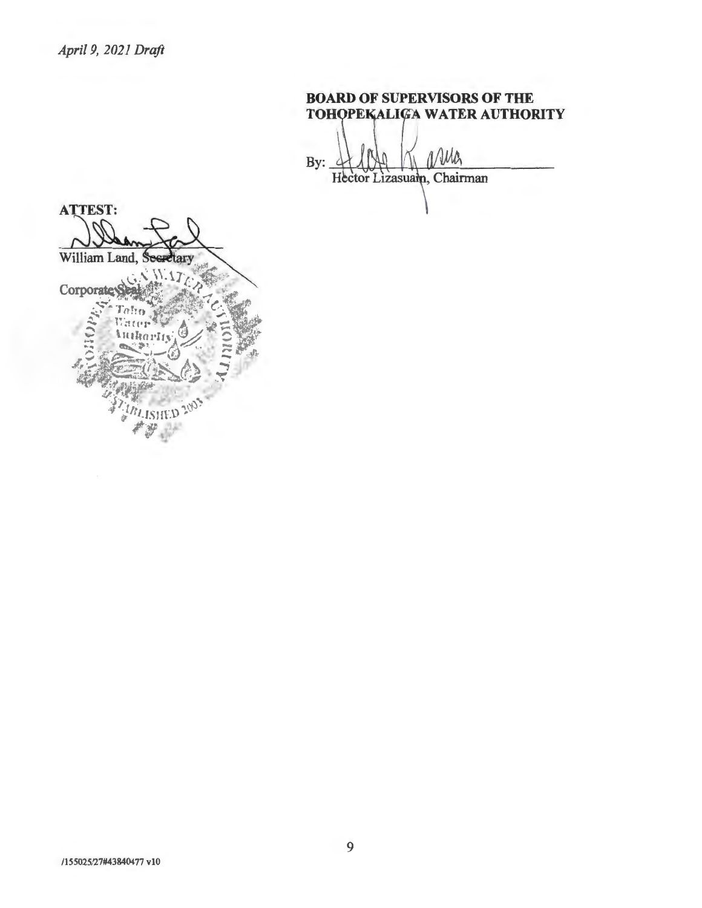**BOARD OF SUPERVISORS OF THE TOHOPEKALIGA WATER AUTHORITY** Wh By: Hector Lizasuam, Chairman